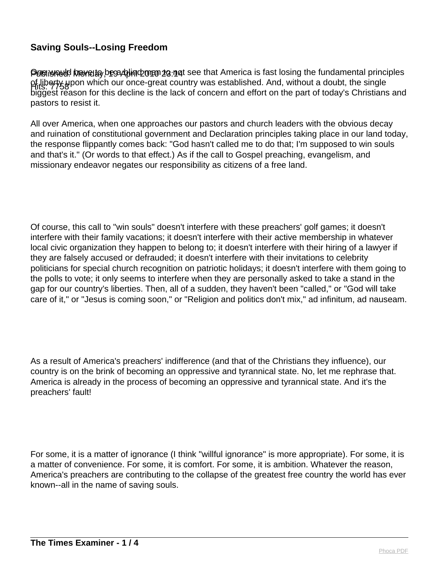Pusiwe to have to be a thind man to that America is fast losing the fundamental principles Hits: 7758 of liberty upon which our once-great country was established. And, without a doubt, the single biggest reason for this decline is the lack of concern and effort on the part of today's Christians and pastors to resist it.

All over America, when one approaches our pastors and church leaders with the obvious decay and ruination of constitutional government and Declaration principles taking place in our land today, the response flippantly comes back: "God hasn't called me to do that; I'm supposed to win souls and that's it." (Or words to that effect.) As if the call to Gospel preaching, evangelism, and missionary endeavor negates our responsibility as citizens of a free land.

Of course, this call to "win souls" doesn't interfere with these preachers' golf games; it doesn't interfere with their family vacations; it doesn't interfere with their active membership in whatever local civic organization they happen to belong to; it doesn't interfere with their hiring of a lawyer if they are falsely accused or defrauded; it doesn't interfere with their invitations to celebrity politicians for special church recognition on patriotic holidays; it doesn't interfere with them going to the polls to vote; it only seems to interfere when they are personally asked to take a stand in the gap for our country's liberties. Then, all of a sudden, they haven't been "called," or "God will take care of it," or "Jesus is coming soon," or "Religion and politics don't mix," ad infinitum, ad nauseam.

As a result of America's preachers' indifference (and that of the Christians they influence), our country is on the brink of becoming an oppressive and tyrannical state. No, let me rephrase that. America is already in the process of becoming an oppressive and tyrannical state. And it's the preachers' fault!

For some, it is a matter of ignorance (I think "willful ignorance" is more appropriate). For some, it is a matter of convenience. For some, it is comfort. For some, it is ambition. Whatever the reason, America's preachers are contributing to the collapse of the greatest free country the world has ever known--all in the name of saving souls.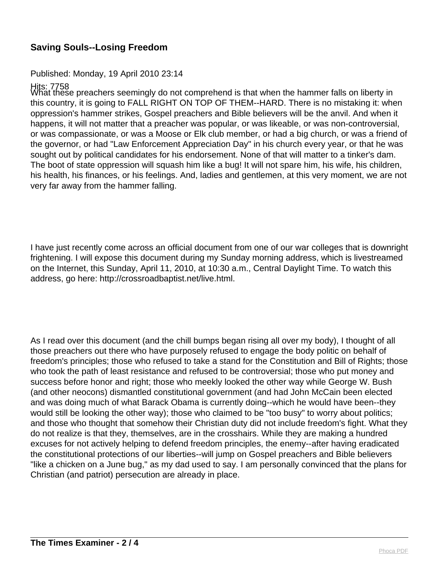#### Published: Monday, 19 April 2010 23:14

Hits: 7758<br>What these preachers seemingly do not comprehend is that when the hammer falls on liberty in this country, it is going to FALL RIGHT ON TOP OF THEM--HARD. There is no mistaking it: when oppression's hammer strikes, Gospel preachers and Bible believers will be the anvil. And when it happens, it will not matter that a preacher was popular, or was likeable, or was non-controversial, or was compassionate, or was a Moose or Elk club member, or had a big church, or was a friend of the governor, or had "Law Enforcement Appreciation Day" in his church every year, or that he was sought out by political candidates for his endorsement. None of that will matter to a tinker's dam. The boot of state oppression will squash him like a bug! It will not spare him, his wife, his children, his health, his finances, or his feelings. And, ladies and gentlemen, at this very moment, we are not very far away from the hammer falling.

I have just recently come across an official document from one of our war colleges that is downright frightening. I will expose this document during my Sunday morning address, which is livestreamed on the Internet, this Sunday, April 11, 2010, at 10:30 a.m., Central Daylight Time. To watch this address, go here: http://crossroadbaptist.net/live.html.

As I read over this document (and the chill bumps began rising all over my body), I thought of all those preachers out there who have purposely refused to engage the body politic on behalf of freedom's principles; those who refused to take a stand for the Constitution and Bill of Rights; those who took the path of least resistance and refused to be controversial; those who put money and success before honor and right; those who meekly looked the other way while George W. Bush (and other neocons) dismantled constitutional government (and had John McCain been elected and was doing much of what Barack Obama is currently doing--which he would have been--they would still be looking the other way); those who claimed to be "too busy" to worry about politics; and those who thought that somehow their Christian duty did not include freedom's fight. What they do not realize is that they, themselves, are in the crosshairs. While they are making a hundred excuses for not actively helping to defend freedom principles, the enemy--after having eradicated the constitutional protections of our liberties--will jump on Gospel preachers and Bible believers "like a chicken on a June bug," as my dad used to say. I am personally convinced that the plans for Christian (and patriot) persecution are already in place.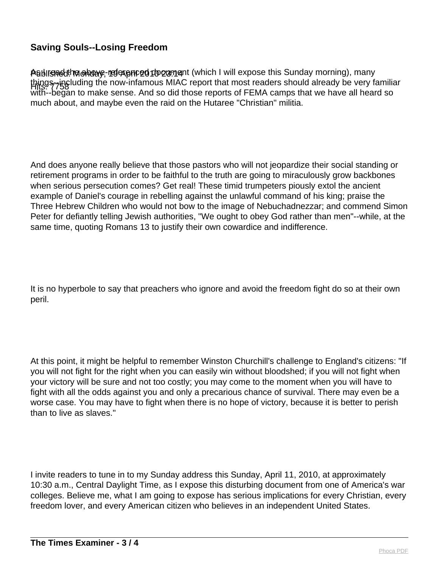Asblir<del>gո</del>edthe ahoave, mafexpnced document (which I will expose this Sunday morning), many things--including the now-infamous MIAC report that most readers should already be very familiar<br>Hits: 7758 with--began to make sense. And so did those reports of FEMA camps that we have all heard so much about, and maybe even the raid on the Hutaree "Christian" militia.

And does anyone really believe that those pastors who will not jeopardize their social standing or retirement programs in order to be faithful to the truth are going to miraculously grow backbones when serious persecution comes? Get real! These timid trumpeters piously extol the ancient example of Daniel's courage in rebelling against the unlawful command of his king; praise the Three Hebrew Children who would not bow to the image of Nebuchadnezzar; and commend Simon Peter for defiantly telling Jewish authorities, "We ought to obey God rather than men"--while, at the same time, quoting Romans 13 to justify their own cowardice and indifference.

It is no hyperbole to say that preachers who ignore and avoid the freedom fight do so at their own peril.

At this point, it might be helpful to remember Winston Churchill's challenge to England's citizens: "If you will not fight for the right when you can easily win without bloodshed; if you will not fight when your victory will be sure and not too costly; you may come to the moment when you will have to fight with all the odds against you and only a precarious chance of survival. There may even be a worse case. You may have to fight when there is no hope of victory, because it is better to perish than to live as slaves."

I invite readers to tune in to my Sunday address this Sunday, April 11, 2010, at approximately 10:30 a.m., Central Daylight Time, as I expose this disturbing document from one of America's war colleges. Believe me, what I am going to expose has serious implications for every Christian, every freedom lover, and every American citizen who believes in an independent United States.